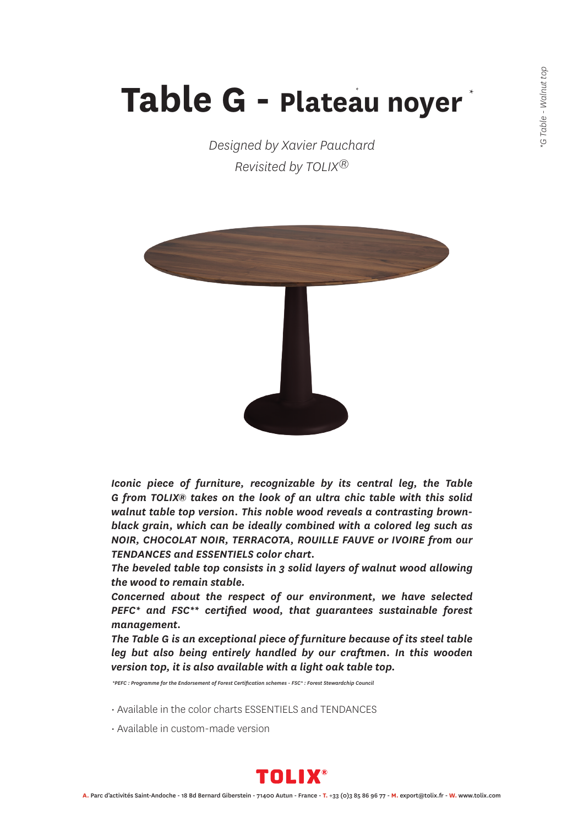## **Table G - Plateau noyer** *\** \*

*Designed by Xavier Pauchard Revisited by TOLIX®*



*Iconic piece of furniture, recognizable by its central leg, the Table G from TOLIX® takes on the look of an ultra chic table with this solid walnut table top version. This noble wood reveals a contrasting brownblack grain, which can be ideally combined with a colored leg such as NOIR, CHOCOLAT NOIR, TERRACOTA, ROUILLE FAUVE or IVOIRE from our TENDANCES and ESSENTIELS color chart.*

*The beveled table top consists in 3 solid layers of walnut wood allowing the wood to remain stable.*

*Concerned about the respect of our environment, we have selected PEFC\* and FSC\*\* certified wood, that guarantees sustainable forest management.*

*The Table G is an exceptional piece of furniture because of its steel table leg but also being entirely handled by our craftmen. In this wooden version top, it is also available with a light oak table top.*

 *\*PEFC : Programme for the Endorsement of Forest Certification schemes - FSC\* : Forest Stewardchip Council*

- Available in the color charts ESSENTIELS and TENDANCES
- Available in custom-made version